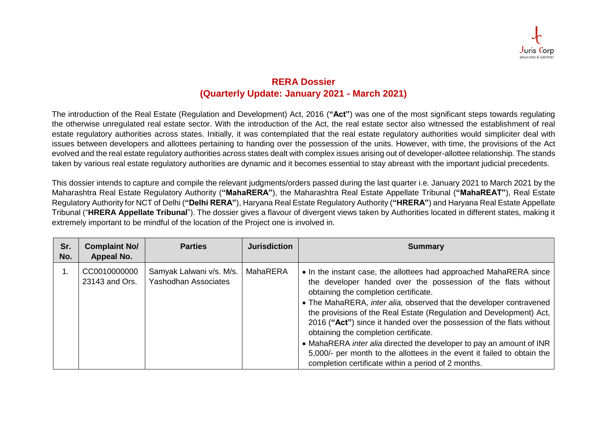

## **RERA Dossier (Quarterly Update: January 2021 - March 2021)**

The introduction of the Real Estate (Regulation and Development) Act, 2016 (**"Act"**) was one of the most significant steps towards regulating the otherwise unregulated real estate sector. With the introduction of the Act, the real estate sector also witnessed the establishment of real estate regulatory authorities across states. Initially, it was contemplated that the real estate regulatory authorities would simpliciter deal with issues between developers and allottees pertaining to handing over the possession of the units. However, with time, the provisions of the Act evolved and the real estate regulatory authorities across states dealt with complex issues arising out of developer-allottee relationship. The stands taken by various real estate regulatory authorities are dynamic and it becomes essential to stay abreast with the important judicial precedents.

This dossier intends to capture and compile the relevant judgments/orders passed during the last quarter i.e. January 2021 to March 2021 by the Maharashtra Real Estate Regulatory Authority (**"MahaRERA"**), the Maharashtra Real Estate Appellate Tribunal (**"MahaREAT"**), Real Estate Regulatory Authority for NCT of Delhi (**"Delhi RERA"**), Haryana Real Estate Regulatory Authority (**"HRERA"**) and Haryana Real Estate Appellate Tribunal ("**HRERA Appellate Tribunal**"). The dossier gives a flavour of divergent views taken by Authorities located in different states, making it extremely important to be mindful of the location of the Project one is involved in.

| Sr.<br>No. | <b>Complaint No/</b><br>Appeal No. | <b>Parties</b>                                   | <b>Jurisdiction</b> | <b>Summary</b>                                                                                                                                                                                                                                                                                                                                                                                                                                                                                                                                                                                                                                         |
|------------|------------------------------------|--------------------------------------------------|---------------------|--------------------------------------------------------------------------------------------------------------------------------------------------------------------------------------------------------------------------------------------------------------------------------------------------------------------------------------------------------------------------------------------------------------------------------------------------------------------------------------------------------------------------------------------------------------------------------------------------------------------------------------------------------|
|            | CC0010000000<br>23143 and Ors.     | Samyak Lalwani v/s. M/s.<br>Yashodhan Associates | MahaRERA            | • In the instant case, the allottees had approached MahaRERA since<br>the developer handed over the possession of the flats without<br>obtaining the completion certificate.<br>• The MahaRERA, inter alia, observed that the developer contravened<br>the provisions of the Real Estate (Regulation and Development) Act,<br>2016 ("Act") since it handed over the possession of the flats without<br>obtaining the completion certificate.<br>• MahaRERA inter alia directed the developer to pay an amount of INR<br>5,000/- per month to the allottees in the event it failed to obtain the<br>completion certificate within a period of 2 months. |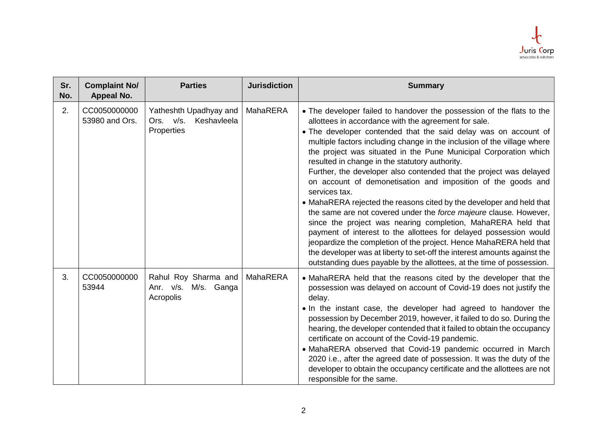

| Sr.<br>No. | <b>Complaint No/</b><br><b>Appeal No.</b> | <b>Parties</b>                                                   | <b>Jurisdiction</b> | <b>Summary</b>                                                                                                                                                                                                                                                                                                                                                                                                                                                                                                                                                                                                                                                                                                                                                                                                                                                                                                                                                                                                                                                        |
|------------|-------------------------------------------|------------------------------------------------------------------|---------------------|-----------------------------------------------------------------------------------------------------------------------------------------------------------------------------------------------------------------------------------------------------------------------------------------------------------------------------------------------------------------------------------------------------------------------------------------------------------------------------------------------------------------------------------------------------------------------------------------------------------------------------------------------------------------------------------------------------------------------------------------------------------------------------------------------------------------------------------------------------------------------------------------------------------------------------------------------------------------------------------------------------------------------------------------------------------------------|
| 2.         | CC0050000000<br>53980 and Ors.            | Yatheshth Upadhyay and<br>Ors. v/s.<br>Keshavleela<br>Properties | <b>MahaRERA</b>     | • The developer failed to handover the possession of the flats to the<br>allottees in accordance with the agreement for sale.<br>• The developer contended that the said delay was on account of<br>multiple factors including change in the inclusion of the village where<br>the project was situated in the Pune Municipal Corporation which<br>resulted in change in the statutory authority.<br>Further, the developer also contended that the project was delayed<br>on account of demonetisation and imposition of the goods and<br>services tax.<br>• MahaRERA rejected the reasons cited by the developer and held that<br>the same are not covered under the force majeure clause. However,<br>since the project was nearing completion, MahaRERA held that<br>payment of interest to the allottees for delayed possession would<br>jeopardize the completion of the project. Hence MahaRERA held that<br>the developer was at liberty to set-off the interest amounts against the<br>outstanding dues payable by the allottees, at the time of possession. |
| 3.         | CC0050000000<br>53944                     | Rahul Roy Sharma and<br>Anr. v/s. M/s. Ganga<br>Acropolis        | MahaRERA            | • MahaRERA held that the reasons cited by the developer that the<br>possession was delayed on account of Covid-19 does not justify the<br>delay.<br>. In the instant case, the developer had agreed to handover the<br>possession by December 2019, however, it failed to do so. During the<br>hearing, the developer contended that it failed to obtain the occupancy<br>certificate on account of the Covid-19 pandemic.<br>• MahaRERA observed that Covid-19 pandemic occurred in March<br>2020 i.e., after the agreed date of possession. It was the duty of the<br>developer to obtain the occupancy certificate and the allottees are not<br>responsible for the same.                                                                                                                                                                                                                                                                                                                                                                                          |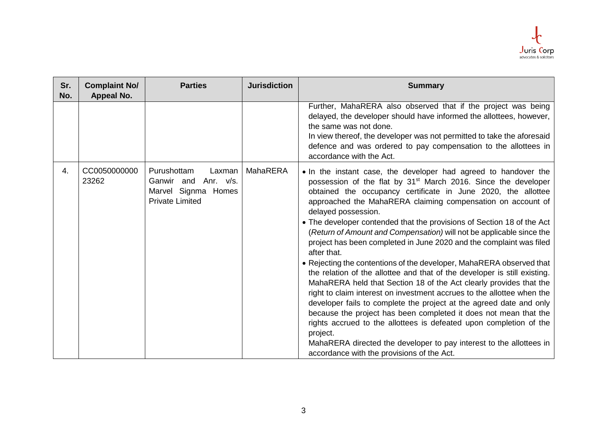

| Sr.<br>No. | <b>Complaint No/</b><br><b>Appeal No.</b> | <b>Parties</b>                                                                                    | <b>Jurisdiction</b> | <b>Summary</b>                                                                                                                                                                                                                                                                                                                                                                                                                                                                                                                                                                                                                                                                                                                                                                                                                                                                                                                                                                                                                                                                                                                                                                                      |
|------------|-------------------------------------------|---------------------------------------------------------------------------------------------------|---------------------|-----------------------------------------------------------------------------------------------------------------------------------------------------------------------------------------------------------------------------------------------------------------------------------------------------------------------------------------------------------------------------------------------------------------------------------------------------------------------------------------------------------------------------------------------------------------------------------------------------------------------------------------------------------------------------------------------------------------------------------------------------------------------------------------------------------------------------------------------------------------------------------------------------------------------------------------------------------------------------------------------------------------------------------------------------------------------------------------------------------------------------------------------------------------------------------------------------|
|            |                                           |                                                                                                   |                     | Further, MahaRERA also observed that if the project was being<br>delayed, the developer should have informed the allottees, however,<br>the same was not done.<br>In view thereof, the developer was not permitted to take the aforesaid<br>defence and was ordered to pay compensation to the allottees in<br>accordance with the Act.                                                                                                                                                                                                                                                                                                                                                                                                                                                                                                                                                                                                                                                                                                                                                                                                                                                             |
| 4.         | CC0050000000<br>23262                     | Purushottam<br>Laxman<br>Ganwir and<br>Anr. v/s.<br>Marvel Signma Homes<br><b>Private Limited</b> | <b>MahaRERA</b>     | • In the instant case, the developer had agreed to handover the<br>possession of the flat by 31 <sup>st</sup> March 2016. Since the developer<br>obtained the occupancy certificate in June 2020, the allottee<br>approached the MahaRERA claiming compensation on account of<br>delayed possession.<br>• The developer contended that the provisions of Section 18 of the Act<br>(Return of Amount and Compensation) will not be applicable since the<br>project has been completed in June 2020 and the complaint was filed<br>after that.<br>• Rejecting the contentions of the developer, MahaRERA observed that<br>the relation of the allottee and that of the developer is still existing.<br>MahaRERA held that Section 18 of the Act clearly provides that the<br>right to claim interest on investment accrues to the allottee when the<br>developer fails to complete the project at the agreed date and only<br>because the project has been completed it does not mean that the<br>rights accrued to the allottees is defeated upon completion of the<br>project.<br>MahaRERA directed the developer to pay interest to the allottees in<br>accordance with the provisions of the Act. |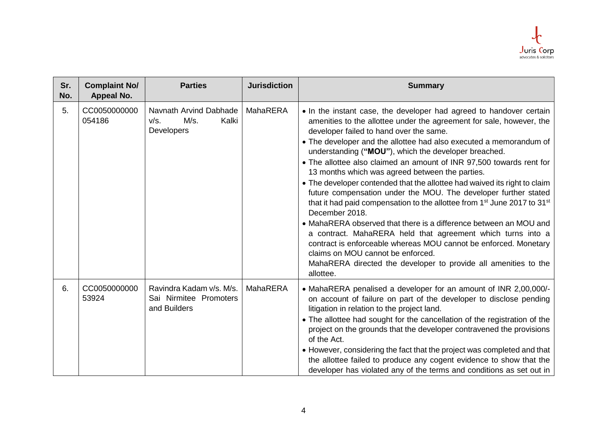

| Sr.<br>No. | <b>Complaint No/</b><br>Appeal No. | <b>Parties</b>                                                     | <b>Jurisdiction</b> | <b>Summary</b>                                                                                                                                                                                                                                                                                                                                                                                                                                                                                                                                                                                                                                                                                                                                                                                                                                                                                                                                                                                                                                     |
|------------|------------------------------------|--------------------------------------------------------------------|---------------------|----------------------------------------------------------------------------------------------------------------------------------------------------------------------------------------------------------------------------------------------------------------------------------------------------------------------------------------------------------------------------------------------------------------------------------------------------------------------------------------------------------------------------------------------------------------------------------------------------------------------------------------------------------------------------------------------------------------------------------------------------------------------------------------------------------------------------------------------------------------------------------------------------------------------------------------------------------------------------------------------------------------------------------------------------|
| 5.         | CC0050000000<br>054186             | Navnath Arvind Dabhade<br>M/s.<br>Kalki<br>V/S.<br>Developers      | <b>MahaRERA</b>     | • In the instant case, the developer had agreed to handover certain<br>amenities to the allottee under the agreement for sale, however, the<br>developer failed to hand over the same.<br>• The developer and the allottee had also executed a memorandum of<br>understanding ("MOU"), which the developer breached.<br>• The allottee also claimed an amount of INR 97,500 towards rent for<br>13 months which was agreed between the parties.<br>• The developer contended that the allottee had waived its right to claim<br>future compensation under the MOU. The developer further stated<br>that it had paid compensation to the allottee from 1 <sup>st</sup> June 2017 to 31 <sup>st</sup><br>December 2018.<br>• MahaRERA observed that there is a difference between an MOU and<br>a contract. MahaRERA held that agreement which turns into a<br>contract is enforceable whereas MOU cannot be enforced. Monetary<br>claims on MOU cannot be enforced.<br>MahaRERA directed the developer to provide all amenities to the<br>allottee. |
| 6.         | CC0050000000<br>53924              | Ravindra Kadam v/s. M/s.<br>Sai Nirmitee Promoters<br>and Builders | MahaRERA            | • MahaRERA penalised a developer for an amount of INR 2,00,000/-<br>on account of failure on part of the developer to disclose pending<br>litigation in relation to the project land.<br>• The allottee had sought for the cancellation of the registration of the<br>project on the grounds that the developer contravened the provisions<br>of the Act.<br>• However, considering the fact that the project was completed and that<br>the allottee failed to produce any cogent evidence to show that the<br>developer has violated any of the terms and conditions as set out in                                                                                                                                                                                                                                                                                                                                                                                                                                                                |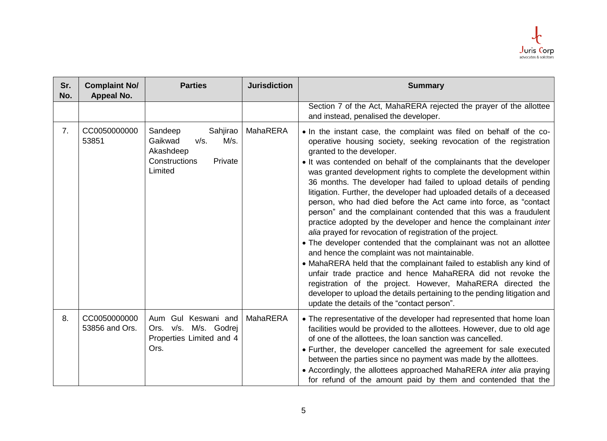

| Sr.<br>No. | <b>Complaint No/</b><br><b>Appeal No.</b> | <b>Parties</b>                                                                                     | <b>Jurisdiction</b> | <b>Summary</b>                                                                                                                                                                                                                                                                                                                                                                                                                                                                                                                                                                                                                                                                                                                                                                                                                                                                                                                                                                                                                                                                                                                                                                                     |
|------------|-------------------------------------------|----------------------------------------------------------------------------------------------------|---------------------|----------------------------------------------------------------------------------------------------------------------------------------------------------------------------------------------------------------------------------------------------------------------------------------------------------------------------------------------------------------------------------------------------------------------------------------------------------------------------------------------------------------------------------------------------------------------------------------------------------------------------------------------------------------------------------------------------------------------------------------------------------------------------------------------------------------------------------------------------------------------------------------------------------------------------------------------------------------------------------------------------------------------------------------------------------------------------------------------------------------------------------------------------------------------------------------------------|
|            |                                           |                                                                                                    |                     | Section 7 of the Act, MahaRERA rejected the prayer of the allottee<br>and instead, penalised the developer.                                                                                                                                                                                                                                                                                                                                                                                                                                                                                                                                                                                                                                                                                                                                                                                                                                                                                                                                                                                                                                                                                        |
| 7.         | CC0050000000<br>53851                     | Sandeep<br>Sahjirao<br>Gaikwad<br>M/s.<br>V/S.<br>Akashdeep<br>Constructions<br>Private<br>Limited | MahaRERA            | • In the instant case, the complaint was filed on behalf of the co-<br>operative housing society, seeking revocation of the registration<br>granted to the developer.<br>. It was contended on behalf of the complainants that the developer<br>was granted development rights to complete the development within<br>36 months. The developer had failed to upload details of pending<br>litigation. Further, the developer had uploaded details of a deceased<br>person, who had died before the Act came into force, as "contact"<br>person" and the complainant contended that this was a fraudulent<br>practice adopted by the developer and hence the complainant inter<br>alia prayed for revocation of registration of the project.<br>• The developer contended that the complainant was not an allottee<br>and hence the complaint was not maintainable.<br>• MahaRERA held that the complainant failed to establish any kind of<br>unfair trade practice and hence MahaRERA did not revoke the<br>registration of the project. However, MahaRERA directed the<br>developer to upload the details pertaining to the pending litigation and<br>update the details of the "contact person". |
| 8.         | CC0050000000<br>53856 and Ors.            | Aum Gul Keswani and<br>Ors. v/s. M/s. Godrej<br>Properties Limited and 4<br>Ors.                   | MahaRERA            | • The representative of the developer had represented that home loan<br>facilities would be provided to the allottees. However, due to old age<br>of one of the allottees, the loan sanction was cancelled.<br>• Further, the developer cancelled the agreement for sale executed<br>between the parties since no payment was made by the allottees.<br>• Accordingly, the allottees approached MahaRERA inter alia praying<br>for refund of the amount paid by them and contended that the                                                                                                                                                                                                                                                                                                                                                                                                                                                                                                                                                                                                                                                                                                        |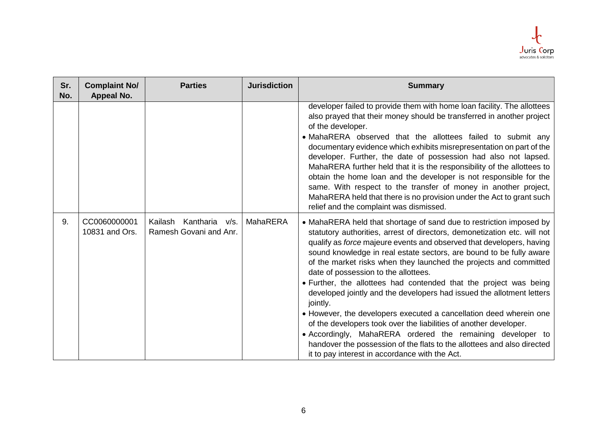

| Sr.<br>No. | <b>Complaint No/</b><br><b>Appeal No.</b> | <b>Parties</b>                                      | <b>Jurisdiction</b> | <b>Summary</b>                                                                                                                                                                                                                                                                                                                                                                                                                                                                                                                                                                                                                                                                                                                                                                                                                                                                                              |
|------------|-------------------------------------------|-----------------------------------------------------|---------------------|-------------------------------------------------------------------------------------------------------------------------------------------------------------------------------------------------------------------------------------------------------------------------------------------------------------------------------------------------------------------------------------------------------------------------------------------------------------------------------------------------------------------------------------------------------------------------------------------------------------------------------------------------------------------------------------------------------------------------------------------------------------------------------------------------------------------------------------------------------------------------------------------------------------|
|            |                                           |                                                     |                     | developer failed to provide them with home loan facility. The allottees<br>also prayed that their money should be transferred in another project<br>of the developer.<br>• MahaRERA observed that the allottees failed to submit any<br>documentary evidence which exhibits misrepresentation on part of the<br>developer. Further, the date of possession had also not lapsed.<br>MahaRERA further held that it is the responsibility of the allottees to<br>obtain the home loan and the developer is not responsible for the<br>same. With respect to the transfer of money in another project,<br>MahaRERA held that there is no provision under the Act to grant such<br>relief and the complaint was dismissed.                                                                                                                                                                                       |
| 9.         | CC0060000001<br>10831 and Ors.            | Kantharia v/s.<br>Kailash<br>Ramesh Govani and Anr. | MahaRERA            | • MahaRERA held that shortage of sand due to restriction imposed by<br>statutory authorities, arrest of directors, demonetization etc. will not<br>qualify as force majeure events and observed that developers, having<br>sound knowledge in real estate sectors, are bound to be fully aware<br>of the market risks when they launched the projects and committed<br>date of possession to the allottees.<br>. Further, the allottees had contended that the project was being<br>developed jointly and the developers had issued the allotment letters<br>jointly.<br>• However, the developers executed a cancellation deed wherein one<br>of the developers took over the liabilities of another developer.<br>• Accordingly, MahaRERA ordered the remaining developer to<br>handover the possession of the flats to the allottees and also directed<br>it to pay interest in accordance with the Act. |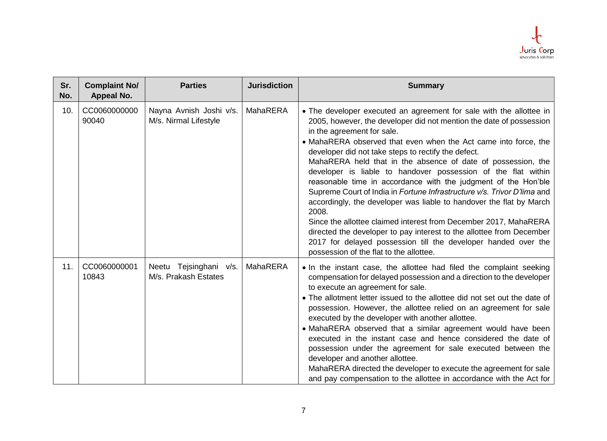

| Sr.<br>No. | <b>Complaint No/</b><br><b>Appeal No.</b> | <b>Parties</b>                                    | <b>Jurisdiction</b> | <b>Summary</b>                                                                                                                                                                                                                                                                                                                                                                                                                                                                                                                                                                                                                                                                                                                                                                                                                                                                                                            |
|------------|-------------------------------------------|---------------------------------------------------|---------------------|---------------------------------------------------------------------------------------------------------------------------------------------------------------------------------------------------------------------------------------------------------------------------------------------------------------------------------------------------------------------------------------------------------------------------------------------------------------------------------------------------------------------------------------------------------------------------------------------------------------------------------------------------------------------------------------------------------------------------------------------------------------------------------------------------------------------------------------------------------------------------------------------------------------------------|
| 10.        | CC0060000000<br>90040                     | Nayna Avnish Joshi v/s.<br>M/s. Nirmal Lifestyle  | <b>MahaRERA</b>     | • The developer executed an agreement for sale with the allottee in<br>2005, however, the developer did not mention the date of possession<br>in the agreement for sale.<br>• MahaRERA observed that even when the Act came into force, the<br>developer did not take steps to rectify the defect.<br>MahaRERA held that in the absence of date of possession, the<br>developer is liable to handover possession of the flat within<br>reasonable time in accordance with the judgment of the Hon'ble<br>Supreme Court of India in Fortune Infrastructure v/s. Trivor D'lima and<br>accordingly, the developer was liable to handover the flat by March<br>2008.<br>Since the allottee claimed interest from December 2017, MahaRERA<br>directed the developer to pay interest to the allottee from December<br>2017 for delayed possession till the developer handed over the<br>possession of the flat to the allottee. |
| 11.        | CC0060000001<br>10843                     | Tejsinghani v/s.<br>Neetu<br>M/s. Prakash Estates | <b>MahaRERA</b>     | • In the instant case, the allottee had filed the complaint seeking<br>compensation for delayed possession and a direction to the developer<br>to execute an agreement for sale.<br>• The allotment letter issued to the allottee did not set out the date of<br>possession. However, the allottee relied on an agreement for sale<br>executed by the developer with another allottee.<br>• MahaRERA observed that a similar agreement would have been<br>executed in the instant case and hence considered the date of<br>possession under the agreement for sale executed between the<br>developer and another allottee.<br>MahaRERA directed the developer to execute the agreement for sale<br>and pay compensation to the allottee in accordance with the Act for                                                                                                                                                    |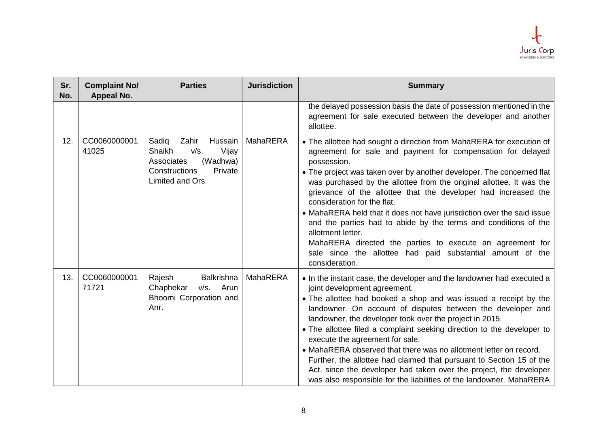

| Sr.<br>No. | <b>Complaint No/</b><br><b>Appeal No.</b> | <b>Parties</b>                                                                                                                 | <b>Jurisdiction</b> | <b>Summary</b>                                                                                                                                                                                                                                                                                                                                                                                                                                                                                                                                                                                                                                                                                                      |
|------------|-------------------------------------------|--------------------------------------------------------------------------------------------------------------------------------|---------------------|---------------------------------------------------------------------------------------------------------------------------------------------------------------------------------------------------------------------------------------------------------------------------------------------------------------------------------------------------------------------------------------------------------------------------------------------------------------------------------------------------------------------------------------------------------------------------------------------------------------------------------------------------------------------------------------------------------------------|
|            |                                           |                                                                                                                                |                     | the delayed possession basis the date of possession mentioned in the<br>agreement for sale executed between the developer and another<br>allottee.                                                                                                                                                                                                                                                                                                                                                                                                                                                                                                                                                                  |
| 12.        | CC0060000001<br>41025                     | Sadig<br>Zahir<br>Hussain<br>Shaikh<br>V/S.<br>Vijay<br>Associates<br>(Wadhwa)<br>Private<br>Constructions<br>Limited and Ors. | MahaRERA            | • The allottee had sought a direction from MahaRERA for execution of<br>agreement for sale and payment for compensation for delayed<br>possession.<br>• The project was taken over by another developer. The concerned flat<br>was purchased by the allottee from the original allottee. It was the<br>grievance of the allottee that the developer had increased the<br>consideration for the flat.<br>• MahaRERA held that it does not have jurisdiction over the said issue<br>and the parties had to abide by the terms and conditions of the<br>allotment letter.<br>MahaRERA directed the parties to execute an agreement for<br>sale since the allottee had paid substantial amount of the<br>consideration. |
| 13.        | CC0060000001<br>71721                     | Rajesh<br><b>Balkrishna</b><br>Chaphekar<br>Arun<br>v/s.<br>Bhoomi Corporation and<br>Anr.                                     | MahaRERA            | • In the instant case, the developer and the landowner had executed a<br>joint development agreement.<br>• The allottee had booked a shop and was issued a receipt by the<br>landowner. On account of disputes between the developer and<br>landowner, the developer took over the project in 2015.<br>• The allottee filed a complaint seeking direction to the developer to<br>execute the agreement for sale.<br>• MahaRERA observed that there was no allotment letter on record.<br>Further, the allottee had claimed that pursuant to Section 15 of the<br>Act, since the developer had taken over the project, the developer<br>was also responsible for the liabilities of the landowner. MahaRERA          |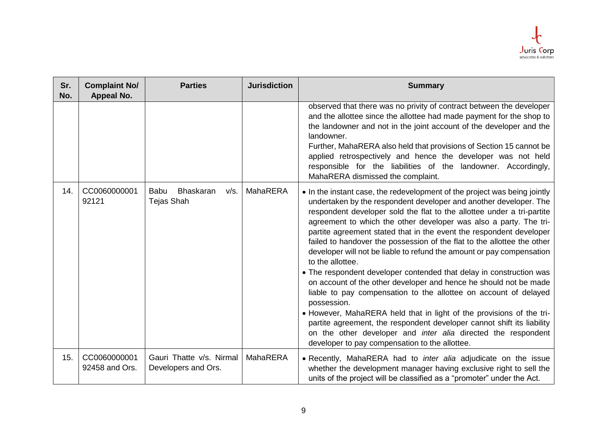

| Sr.<br>No. | <b>Complaint No/</b><br>Appeal No. | <b>Parties</b>                                        | <b>Jurisdiction</b> | <b>Summary</b>                                                                                                                                                                                                                                                                                                                                                                                                                                                                                                                                                                                                                                                                                                                                                                                                                                                                                                                                                                                                                                   |
|------------|------------------------------------|-------------------------------------------------------|---------------------|--------------------------------------------------------------------------------------------------------------------------------------------------------------------------------------------------------------------------------------------------------------------------------------------------------------------------------------------------------------------------------------------------------------------------------------------------------------------------------------------------------------------------------------------------------------------------------------------------------------------------------------------------------------------------------------------------------------------------------------------------------------------------------------------------------------------------------------------------------------------------------------------------------------------------------------------------------------------------------------------------------------------------------------------------|
|            |                                    |                                                       |                     | observed that there was no privity of contract between the developer<br>and the allottee since the allottee had made payment for the shop to<br>the landowner and not in the joint account of the developer and the<br>landowner.<br>Further, MahaRERA also held that provisions of Section 15 cannot be<br>applied retrospectively and hence the developer was not held<br>responsible for the liabilities of the landowner. Accordingly,<br>MahaRERA dismissed the complaint.                                                                                                                                                                                                                                                                                                                                                                                                                                                                                                                                                                  |
| 14.        | CC0060000001<br>92121              | Babu<br><b>Bhaskaran</b><br>V/S.<br><b>Tejas Shah</b> | <b>MahaRERA</b>     | • In the instant case, the redevelopment of the project was being jointly<br>undertaken by the respondent developer and another developer. The<br>respondent developer sold the flat to the allottee under a tri-partite<br>agreement to which the other developer was also a party. The tri-<br>partite agreement stated that in the event the respondent developer<br>failed to handover the possession of the flat to the allottee the other<br>developer will not be liable to refund the amount or pay compensation<br>to the allottee.<br>• The respondent developer contended that delay in construction was<br>on account of the other developer and hence he should not be made<br>liable to pay compensation to the allottee on account of delayed<br>possession.<br>• However, MahaRERA held that in light of the provisions of the tri-<br>partite agreement, the respondent developer cannot shift its liability<br>on the other developer and inter alia directed the respondent<br>developer to pay compensation to the allottee. |
| 15.        | CC0060000001<br>92458 and Ors.     | Gauri Thatte v/s. Nirmal<br>Developers and Ors.       | MahaRERA            | • Recently, MahaRERA had to <i>inter alia</i> adjudicate on the issue<br>whether the development manager having exclusive right to sell the<br>units of the project will be classified as a "promoter" under the Act.                                                                                                                                                                                                                                                                                                                                                                                                                                                                                                                                                                                                                                                                                                                                                                                                                            |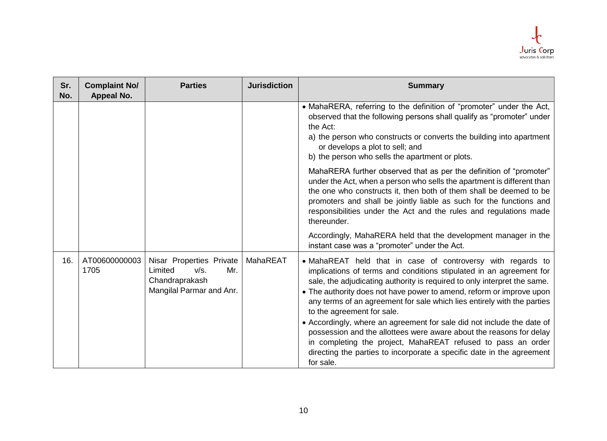

| Sr.<br>No. | <b>Complaint No/</b><br>Appeal No. | <b>Parties</b>                                                                                   | <b>Jurisdiction</b> | <b>Summary</b>                                                                                                                                                                                                                                                                                                                                                                                                                                                                                                                                                                                                                                                                                         |
|------------|------------------------------------|--------------------------------------------------------------------------------------------------|---------------------|--------------------------------------------------------------------------------------------------------------------------------------------------------------------------------------------------------------------------------------------------------------------------------------------------------------------------------------------------------------------------------------------------------------------------------------------------------------------------------------------------------------------------------------------------------------------------------------------------------------------------------------------------------------------------------------------------------|
|            |                                    |                                                                                                  |                     | • MahaRERA, referring to the definition of "promoter" under the Act,<br>observed that the following persons shall qualify as "promoter" under<br>the Act:<br>a) the person who constructs or converts the building into apartment<br>or develops a plot to sell; and<br>b) the person who sells the apartment or plots.                                                                                                                                                                                                                                                                                                                                                                                |
|            |                                    |                                                                                                  |                     | MahaRERA further observed that as per the definition of "promoter"<br>under the Act, when a person who sells the apartment is different than<br>the one who constructs it, then both of them shall be deemed to be<br>promoters and shall be jointly liable as such for the functions and<br>responsibilities under the Act and the rules and regulations made<br>thereunder.                                                                                                                                                                                                                                                                                                                          |
|            |                                    |                                                                                                  |                     | Accordingly, MahaRERA held that the development manager in the<br>instant case was a "promoter" under the Act.                                                                                                                                                                                                                                                                                                                                                                                                                                                                                                                                                                                         |
| 16.        | AT00600000003<br>1705              | Nisar Properties Private<br>Limited<br>V/S.<br>Mr.<br>Chandraprakash<br>Mangilal Parmar and Anr. | MahaREAT            | • MahaREAT held that in case of controversy with regards to<br>implications of terms and conditions stipulated in an agreement for<br>sale, the adjudicating authority is required to only interpret the same.<br>• The authority does not have power to amend, reform or improve upon<br>any terms of an agreement for sale which lies entirely with the parties<br>to the agreement for sale.<br>• Accordingly, where an agreement for sale did not include the date of<br>possession and the allottees were aware about the reasons for delay<br>in completing the project, MahaREAT refused to pass an order<br>directing the parties to incorporate a specific date in the agreement<br>for sale. |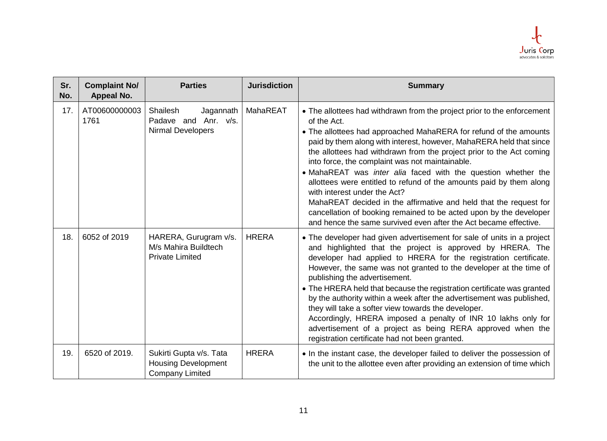

| Sr.<br>No. | <b>Complaint No/</b><br>Appeal No. | <b>Parties</b>                                                                  | <b>Jurisdiction</b> | <b>Summary</b>                                                                                                                                                                                                                                                                                                                                                                                                                                                                                                                                                                                                                                                                                                                                       |
|------------|------------------------------------|---------------------------------------------------------------------------------|---------------------|------------------------------------------------------------------------------------------------------------------------------------------------------------------------------------------------------------------------------------------------------------------------------------------------------------------------------------------------------------------------------------------------------------------------------------------------------------------------------------------------------------------------------------------------------------------------------------------------------------------------------------------------------------------------------------------------------------------------------------------------------|
| 17.        | AT00600000003<br>1761              | Shailesh<br>Jagannath<br>Padave and Anr. v/s.<br>Nirmal Developers              | <b>MahaREAT</b>     | • The allottees had withdrawn from the project prior to the enforcement<br>of the Act.<br>• The allottees had approached MahaRERA for refund of the amounts<br>paid by them along with interest, however, MahaRERA held that since<br>the allottees had withdrawn from the project prior to the Act coming<br>into force, the complaint was not maintainable.<br>• MahaREAT was inter alia faced with the question whether the<br>allottees were entitled to refund of the amounts paid by them along<br>with interest under the Act?<br>MahaREAT decided in the affirmative and held that the request for<br>cancellation of booking remained to be acted upon by the developer<br>and hence the same survived even after the Act became effective. |
| 18.        | 6052 of 2019                       | HARERA, Gurugram v/s.<br>M/s Mahira Buildtech<br><b>Private Limited</b>         | <b>HRERA</b>        | • The developer had given advertisement for sale of units in a project<br>and highlighted that the project is approved by HRERA. The<br>developer had applied to HRERA for the registration certificate.<br>However, the same was not granted to the developer at the time of<br>publishing the advertisement.<br>• The HRERA held that because the registration certificate was granted<br>by the authority within a week after the advertisement was published,<br>they will take a softer view towards the developer.<br>Accordingly, HRERA imposed a penalty of INR 10 lakhs only for<br>advertisement of a project as being RERA approved when the<br>registration certificate had not been granted.                                            |
| 19.        | 6520 of 2019.                      | Sukirti Gupta v/s. Tata<br><b>Housing Development</b><br><b>Company Limited</b> | <b>HRERA</b>        | • In the instant case, the developer failed to deliver the possession of<br>the unit to the allottee even after providing an extension of time which                                                                                                                                                                                                                                                                                                                                                                                                                                                                                                                                                                                                 |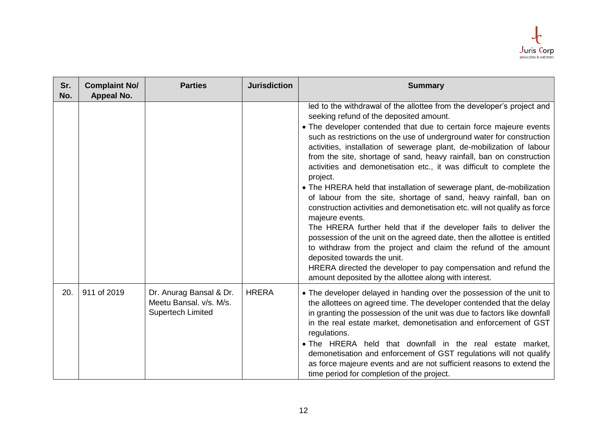

| Sr.<br>No. | <b>Complaint No/</b><br>Appeal No. | <b>Parties</b>                                                          | <b>Jurisdiction</b> | <b>Summary</b>                                                                                                                                                                                                                                                                                                                                                                                                                                                                                                                                                                                                                                                                                                                                                                                                                                                                                                                                                                                                                                                                                                                     |
|------------|------------------------------------|-------------------------------------------------------------------------|---------------------|------------------------------------------------------------------------------------------------------------------------------------------------------------------------------------------------------------------------------------------------------------------------------------------------------------------------------------------------------------------------------------------------------------------------------------------------------------------------------------------------------------------------------------------------------------------------------------------------------------------------------------------------------------------------------------------------------------------------------------------------------------------------------------------------------------------------------------------------------------------------------------------------------------------------------------------------------------------------------------------------------------------------------------------------------------------------------------------------------------------------------------|
|            |                                    |                                                                         |                     | led to the withdrawal of the allottee from the developer's project and<br>seeking refund of the deposited amount.<br>• The developer contended that due to certain force majeure events<br>such as restrictions on the use of underground water for construction<br>activities, installation of sewerage plant, de-mobilization of labour<br>from the site, shortage of sand, heavy rainfall, ban on construction<br>activities and demonetisation etc., it was difficult to complete the<br>project.<br>• The HRERA held that installation of sewerage plant, de-mobilization<br>of labour from the site, shortage of sand, heavy rainfall, ban on<br>construction activities and demonetisation etc. will not qualify as force<br>majeure events.<br>The HRERA further held that if the developer fails to deliver the<br>possession of the unit on the agreed date, then the allottee is entitled<br>to withdraw from the project and claim the refund of the amount<br>deposited towards the unit.<br>HRERA directed the developer to pay compensation and refund the<br>amount deposited by the allottee along with interest. |
| 20.        | 911 of 2019                        | Dr. Anurag Bansal & Dr.<br>Meetu Bansal. v/s. M/s.<br>Supertech Limited | <b>HRERA</b>        | • The developer delayed in handing over the possession of the unit to<br>the allottees on agreed time. The developer contended that the delay<br>in granting the possession of the unit was due to factors like downfall<br>in the real estate market, demonetisation and enforcement of GST<br>regulations.<br>. The HRERA held that downfall in the real estate market,<br>demonetisation and enforcement of GST regulations will not qualify<br>as force majeure events and are not sufficient reasons to extend the<br>time period for completion of the project.                                                                                                                                                                                                                                                                                                                                                                                                                                                                                                                                                              |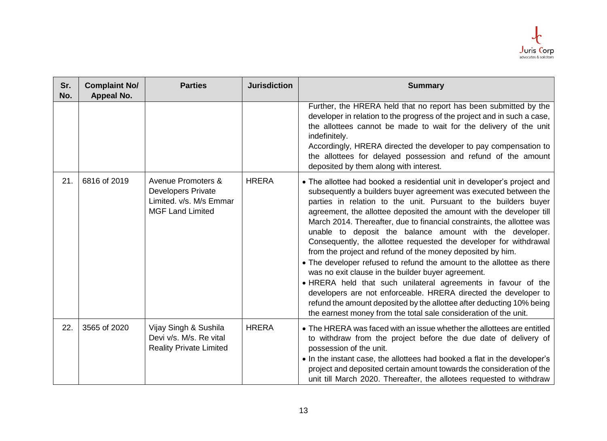

| Sr.<br>No. | <b>Complaint No/</b><br><b>Appeal No.</b> | <b>Parties</b>                                                                                        | <b>Jurisdiction</b> | <b>Summary</b>                                                                                                                                                                                                                                                                                                                                                                                                                                                                                                                                                                                                                                                                                                                                                                                                                                                                                                                                                                  |
|------------|-------------------------------------------|-------------------------------------------------------------------------------------------------------|---------------------|---------------------------------------------------------------------------------------------------------------------------------------------------------------------------------------------------------------------------------------------------------------------------------------------------------------------------------------------------------------------------------------------------------------------------------------------------------------------------------------------------------------------------------------------------------------------------------------------------------------------------------------------------------------------------------------------------------------------------------------------------------------------------------------------------------------------------------------------------------------------------------------------------------------------------------------------------------------------------------|
|            |                                           |                                                                                                       |                     | Further, the HRERA held that no report has been submitted by the<br>developer in relation to the progress of the project and in such a case,<br>the allottees cannot be made to wait for the delivery of the unit<br>indefinitely.<br>Accordingly, HRERA directed the developer to pay compensation to<br>the allottees for delayed possession and refund of the amount<br>deposited by them along with interest.                                                                                                                                                                                                                                                                                                                                                                                                                                                                                                                                                               |
| 21.        | 6816 of 2019                              | Avenue Promoters &<br><b>Developers Private</b><br>Limited. v/s. M/s Emmar<br><b>MGF Land Limited</b> | <b>HRERA</b>        | • The allottee had booked a residential unit in developer's project and<br>subsequently a builders buyer agreement was executed between the<br>parties in relation to the unit. Pursuant to the builders buyer<br>agreement, the allottee deposited the amount with the developer till<br>March 2014. Thereafter, due to financial constraints, the allottee was<br>unable to deposit the balance amount with the developer.<br>Consequently, the allottee requested the developer for withdrawal<br>from the project and refund of the money deposited by him.<br>• The developer refused to refund the amount to the allottee as there<br>was no exit clause in the builder buyer agreement.<br>. HRERA held that such unilateral agreements in favour of the<br>developers are not enforceable. HRERA directed the developer to<br>refund the amount deposited by the allottee after deducting 10% being<br>the earnest money from the total sale consideration of the unit. |
| 22.        | 3565 of 2020                              | Vijay Singh & Sushila<br>Devi v/s. M/s. Re vital<br><b>Reality Private Limited</b>                    | <b>HRERA</b>        | • The HRERA was faced with an issue whether the allottees are entitled<br>to withdraw from the project before the due date of delivery of<br>possession of the unit.<br>• In the instant case, the allottees had booked a flat in the developer's<br>project and deposited certain amount towards the consideration of the<br>unit till March 2020. Thereafter, the allotees requested to withdraw                                                                                                                                                                                                                                                                                                                                                                                                                                                                                                                                                                              |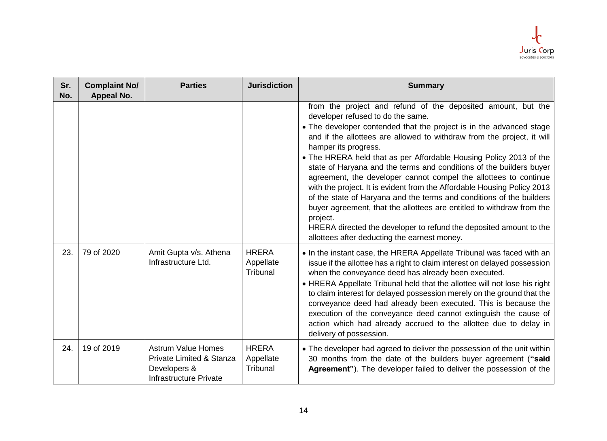

| Sr.<br>No. | <b>Complaint No/</b><br><b>Appeal No.</b> | <b>Parties</b>                                                                                  | <b>Jurisdiction</b>                   | <b>Summary</b>                                                                                                                                                                                                                                                                                                                                                                                                                                                                                                                                                                                                                                                                                                                                                                                                                                            |
|------------|-------------------------------------------|-------------------------------------------------------------------------------------------------|---------------------------------------|-----------------------------------------------------------------------------------------------------------------------------------------------------------------------------------------------------------------------------------------------------------------------------------------------------------------------------------------------------------------------------------------------------------------------------------------------------------------------------------------------------------------------------------------------------------------------------------------------------------------------------------------------------------------------------------------------------------------------------------------------------------------------------------------------------------------------------------------------------------|
|            |                                           |                                                                                                 |                                       | from the project and refund of the deposited amount, but the<br>developer refused to do the same.<br>• The developer contended that the project is in the advanced stage<br>and if the allottees are allowed to withdraw from the project, it will<br>hamper its progress.<br>• The HRERA held that as per Affordable Housing Policy 2013 of the<br>state of Haryana and the terms and conditions of the builders buyer<br>agreement, the developer cannot compel the allottees to continue<br>with the project. It is evident from the Affordable Housing Policy 2013<br>of the state of Haryana and the terms and conditions of the builders<br>buyer agreement, that the allottees are entitled to withdraw from the<br>project.<br>HRERA directed the developer to refund the deposited amount to the<br>allottees after deducting the earnest money. |
| 23.        | 79 of 2020                                | Amit Gupta v/s. Athena<br>Infrastructure Ltd.                                                   | <b>HRERA</b><br>Appellate<br>Tribunal | • In the instant case, the HRERA Appellate Tribunal was faced with an<br>issue if the allottee has a right to claim interest on delayed possession<br>when the conveyance deed has already been executed.<br>• HRERA Appellate Tribunal held that the allottee will not lose his right<br>to claim interest for delayed possession merely on the ground that the<br>conveyance deed had already been executed. This is because the<br>execution of the conveyance deed cannot extinguish the cause of<br>action which had already accrued to the allottee due to delay in<br>delivery of possession.                                                                                                                                                                                                                                                      |
| 24.        | 19 of 2019                                | <b>Astrum Value Homes</b><br>Private Limited & Stanza<br>Developers &<br>Infrastructure Private | <b>HRERA</b><br>Appellate<br>Tribunal | • The developer had agreed to deliver the possession of the unit within<br>30 months from the date of the builders buyer agreement ("said<br>Agreement"). The developer failed to deliver the possession of the                                                                                                                                                                                                                                                                                                                                                                                                                                                                                                                                                                                                                                           |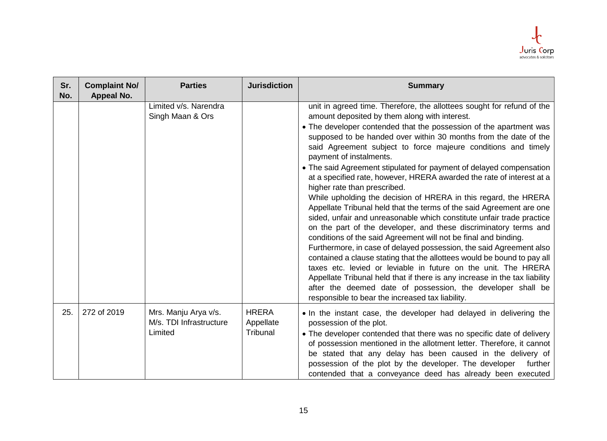

| Sr.<br>No. | <b>Complaint No/</b><br>Appeal No. | <b>Parties</b>                                             | <b>Jurisdiction</b>                   | <b>Summary</b>                                                                                                                                                                                                                                                                                                                                                                                                                                                                                                                                                                                                                                                                                                                                                                                                                                                                                                                                                                                                                                                                                                                                                                                                                                                                                                                |
|------------|------------------------------------|------------------------------------------------------------|---------------------------------------|-------------------------------------------------------------------------------------------------------------------------------------------------------------------------------------------------------------------------------------------------------------------------------------------------------------------------------------------------------------------------------------------------------------------------------------------------------------------------------------------------------------------------------------------------------------------------------------------------------------------------------------------------------------------------------------------------------------------------------------------------------------------------------------------------------------------------------------------------------------------------------------------------------------------------------------------------------------------------------------------------------------------------------------------------------------------------------------------------------------------------------------------------------------------------------------------------------------------------------------------------------------------------------------------------------------------------------|
|            |                                    | Limited v/s. Narendra<br>Singh Maan & Ors                  |                                       | unit in agreed time. Therefore, the allottees sought for refund of the<br>amount deposited by them along with interest.<br>• The developer contended that the possession of the apartment was<br>supposed to be handed over within 30 months from the date of the<br>said Agreement subject to force majeure conditions and timely<br>payment of instalments.<br>• The said Agreement stipulated for payment of delayed compensation<br>at a specified rate, however, HRERA awarded the rate of interest at a<br>higher rate than prescribed.<br>While upholding the decision of HRERA in this regard, the HRERA<br>Appellate Tribunal held that the terms of the said Agreement are one<br>sided, unfair and unreasonable which constitute unfair trade practice<br>on the part of the developer, and these discriminatory terms and<br>conditions of the said Agreement will not be final and binding.<br>Furthermore, in case of delayed possession, the said Agreement also<br>contained a clause stating that the allottees would be bound to pay all<br>taxes etc. levied or leviable in future on the unit. The HRERA<br>Appellate Tribunal held that if there is any increase in the tax liability<br>after the deemed date of possession, the developer shall be<br>responsible to bear the increased tax liability. |
| 25.        | 272 of 2019                        | Mrs. Manju Arya v/s.<br>M/s. TDI Infrastructure<br>Limited | <b>HRERA</b><br>Appellate<br>Tribunal | • In the instant case, the developer had delayed in delivering the<br>possession of the plot.<br>• The developer contended that there was no specific date of delivery<br>of possession mentioned in the allotment letter. Therefore, it cannot<br>be stated that any delay has been caused in the delivery of<br>possession of the plot by the developer. The developer<br>further<br>contended that a conveyance deed has already been executed                                                                                                                                                                                                                                                                                                                                                                                                                                                                                                                                                                                                                                                                                                                                                                                                                                                                             |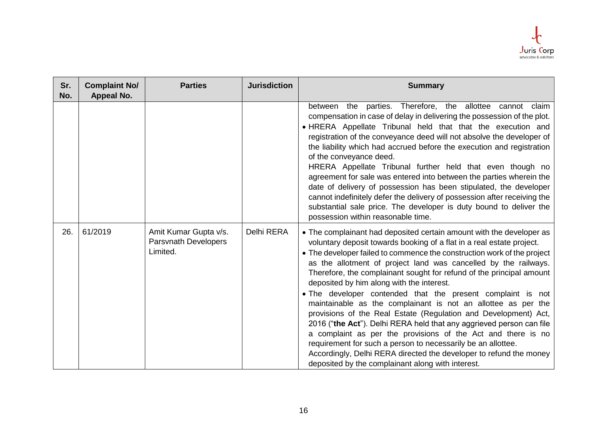

| Sr.<br>No. | <b>Complaint No/</b><br>Appeal No. | <b>Parties</b>                                                   | <b>Jurisdiction</b> | <b>Summary</b>                                                                                                                                                                                                                                                                                                                                                                                                                                                                                                                                                                                                                                                                                                                                                                                                                                                                                                                                         |
|------------|------------------------------------|------------------------------------------------------------------|---------------------|--------------------------------------------------------------------------------------------------------------------------------------------------------------------------------------------------------------------------------------------------------------------------------------------------------------------------------------------------------------------------------------------------------------------------------------------------------------------------------------------------------------------------------------------------------------------------------------------------------------------------------------------------------------------------------------------------------------------------------------------------------------------------------------------------------------------------------------------------------------------------------------------------------------------------------------------------------|
|            |                                    |                                                                  |                     | the parties. Therefore, the allottee cannot claim<br>between<br>compensation in case of delay in delivering the possession of the plot.<br>. HRERA Appellate Tribunal held that that the execution and<br>registration of the conveyance deed will not absolve the developer of<br>the liability which had accrued before the execution and registration<br>of the conveyance deed.<br>HRERA Appellate Tribunal further held that even though no<br>agreement for sale was entered into between the parties wherein the<br>date of delivery of possession has been stipulated, the developer<br>cannot indefinitely defer the delivery of possession after receiving the<br>substantial sale price. The developer is duty bound to deliver the<br>possession within reasonable time.                                                                                                                                                                   |
| 26.        | 61/2019                            | Amit Kumar Gupta v/s.<br><b>Parsvnath Developers</b><br>Limited. | Delhi RERA          | • The complainant had deposited certain amount with the developer as<br>voluntary deposit towards booking of a flat in a real estate project.<br>• The developer failed to commence the construction work of the project<br>as the allotment of project land was cancelled by the railways.<br>Therefore, the complainant sought for refund of the principal amount<br>deposited by him along with the interest.<br>. The developer contended that the present complaint is not<br>maintainable as the complainant is not an allottee as per the<br>provisions of the Real Estate (Regulation and Development) Act,<br>2016 ("the Act"). Delhi RERA held that any aggrieved person can file<br>a complaint as per the provisions of the Act and there is no<br>requirement for such a person to necessarily be an allottee.<br>Accordingly, Delhi RERA directed the developer to refund the money<br>deposited by the complainant along with interest. |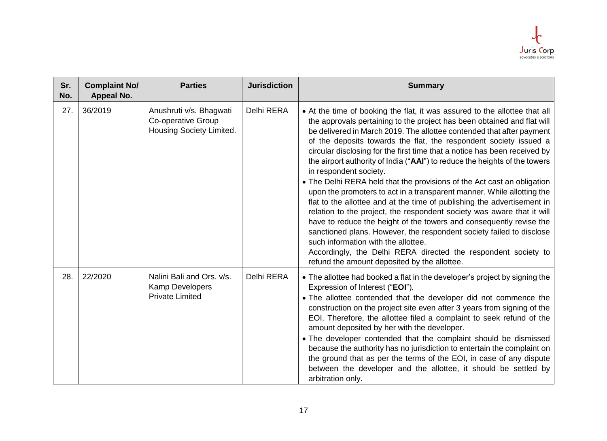

| Sr.<br>No. | <b>Complaint No/</b><br>Appeal No. | <b>Parties</b>                                                            | <b>Jurisdiction</b> | <b>Summary</b>                                                                                                                                                                                                                                                                                                                                                                                                                                                                                                                                                                                                                                                                                                                                                                                                                                                                                                                                                                                                                                                                                             |
|------------|------------------------------------|---------------------------------------------------------------------------|---------------------|------------------------------------------------------------------------------------------------------------------------------------------------------------------------------------------------------------------------------------------------------------------------------------------------------------------------------------------------------------------------------------------------------------------------------------------------------------------------------------------------------------------------------------------------------------------------------------------------------------------------------------------------------------------------------------------------------------------------------------------------------------------------------------------------------------------------------------------------------------------------------------------------------------------------------------------------------------------------------------------------------------------------------------------------------------------------------------------------------------|
| 27.        | 36/2019                            | Anushruti v/s. Bhagwati<br>Co-operative Group<br>Housing Society Limited. | Delhi RERA          | • At the time of booking the flat, it was assured to the allottee that all<br>the approvals pertaining to the project has been obtained and flat will<br>be delivered in March 2019. The allottee contended that after payment<br>of the deposits towards the flat, the respondent society issued a<br>circular disclosing for the first time that a notice has been received by<br>the airport authority of India ("AAI") to reduce the heights of the towers<br>in respondent society.<br>• The Delhi RERA held that the provisions of the Act cast an obligation<br>upon the promoters to act in a transparent manner. While allotting the<br>flat to the allottee and at the time of publishing the advertisement in<br>relation to the project, the respondent society was aware that it will<br>have to reduce the height of the towers and consequently revise the<br>sanctioned plans. However, the respondent society failed to disclose<br>such information with the allottee.<br>Accordingly, the Delhi RERA directed the respondent society to<br>refund the amount deposited by the allottee. |
| 28.        | 22/2020                            | Nalini Bali and Ors. v/s.<br>Kamp Developers<br><b>Private Limited</b>    | Delhi RERA          | • The allottee had booked a flat in the developer's project by signing the<br>Expression of Interest ("EOI").<br>• The allottee contended that the developer did not commence the<br>construction on the project site even after 3 years from signing of the<br>EOI. Therefore, the allottee filed a complaint to seek refund of the<br>amount deposited by her with the developer.<br>• The developer contended that the complaint should be dismissed<br>because the authority has no jurisdiction to entertain the complaint on<br>the ground that as per the terms of the EOI, in case of any dispute<br>between the developer and the allottee, it should be settled by<br>arbitration only.                                                                                                                                                                                                                                                                                                                                                                                                          |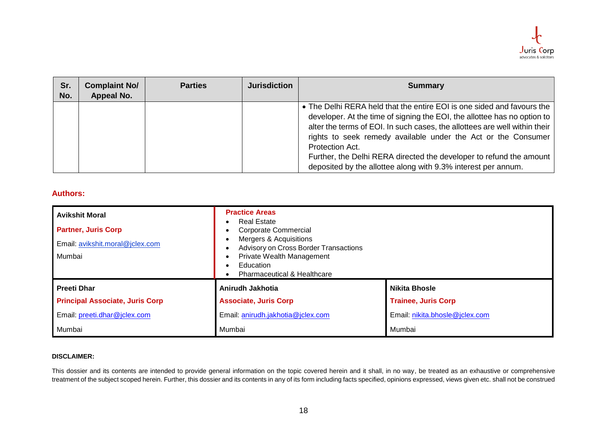

| Sr.<br>No. | <b>Complaint No/</b><br>Appeal No. | <b>Parties</b> | <b>Jurisdiction</b> | <b>Summary</b>                                                                                                                                                                                                                                                                                                                                                                                                                                               |
|------------|------------------------------------|----------------|---------------------|--------------------------------------------------------------------------------------------------------------------------------------------------------------------------------------------------------------------------------------------------------------------------------------------------------------------------------------------------------------------------------------------------------------------------------------------------------------|
|            |                                    |                |                     | • The Delhi RERA held that the entire EOI is one sided and favours the<br>developer. At the time of signing the EOI, the allottee has no option to<br>alter the terms of EOI. In such cases, the allottees are well within their<br>rights to seek remedy available under the Act or the Consumer<br>Protection Act.<br>Further, the Delhi RERA directed the developer to refund the amount<br>deposited by the allottee along with 9.3% interest per annum. |

## **Authors:**

| <b>Avikshit Moral</b><br><b>Partner, Juris Corp</b><br>Email: avikshit.moral@jclex.com<br>Mumbai | <b>Practice Areas</b><br><b>Real Estate</b><br>Corporate Commercial<br>Mergers & Acquisitions<br>Advisory on Cross Border Transactions<br>Private Wealth Management<br>Education<br>Pharmaceutical & Healthcare |                                |
|--------------------------------------------------------------------------------------------------|-----------------------------------------------------------------------------------------------------------------------------------------------------------------------------------------------------------------|--------------------------------|
| <b>Preeti Dhar</b>                                                                               | Anirudh Jakhotia                                                                                                                                                                                                | Nikita Bhosle                  |
| <b>Principal Associate, Juris Corp</b>                                                           | <b>Associate, Juris Corp</b>                                                                                                                                                                                    | <b>Trainee, Juris Corp</b>     |
| Email: preeti.dhar@jclex.com                                                                     | Email: anirudh.jakhotia@jclex.com                                                                                                                                                                               | Email: nikita.bhosle@jclex.com |
| Mumbai                                                                                           | Mumbai                                                                                                                                                                                                          | Mumbai                         |

## **DISCLAIMER:**

This dossier and its contents are intended to provide general information on the topic covered herein and it shall, in no way, be treated as an exhaustive or comprehensive treatment of the subject scoped herein. Further, this dossier and its contents in any of its form including facts specified, opinions expressed, views given etc. shall not be construed